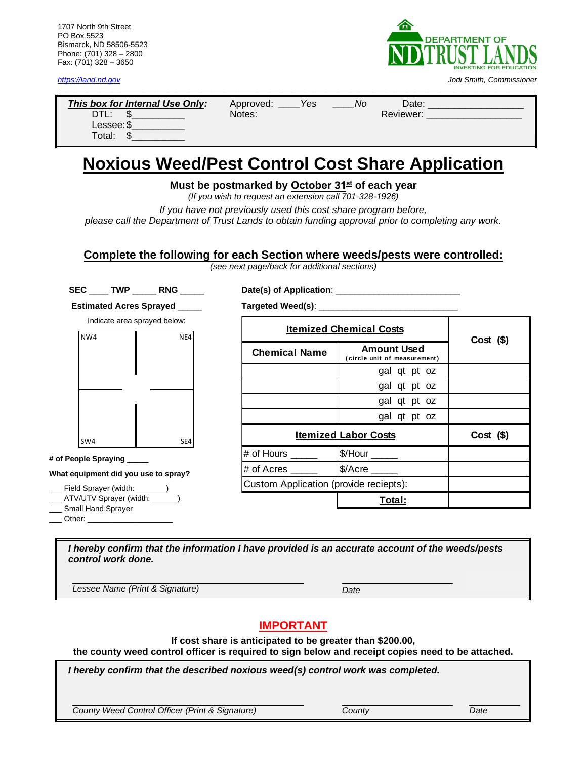1707 North 9th Street PO Box 5523 Bismarck, ND 58506-5523 Phone: (701) 328 – 2800 Fax: (701) 328 – 3650



*[https://land.nd.gov](https://land.nd.gov/) Jodi Smith, Commissioner*

| This box for Internal Use Only:<br>DTL: | Yes<br>Approved:<br>Notes: | N0 | Date:<br>Reviewer: |
|-----------------------------------------|----------------------------|----|--------------------|
| Lessee: \$<br>Total:                    |                            |    |                    |

*\_\_\_\_\_\_\_\_\_\_\_\_\_\_\_\_\_\_\_\_\_\_\_\_\_\_\_\_\_\_\_\_\_\_\_\_\_\_\_\_\_\_\_\_\_\_\_\_\_\_\_\_\_\_\_\_\_\_\_\_\_\_\_\_\_\_\_\_\_\_\_\_\_\_\_\_\_\_\_\_\_\_\_\_\_\_\_\_\_\_\_\_\_\_\_\_\_\_\_\_\_\_\_\_\_\_\_\_\_\_\_\_*

# **Noxious Weed/Pest Control Cost Share Application**

**Must be postmarked by October 31 st of each year** 

*(If you wish to request an extension call 701-328-1926)* 

*If you have not previously used this cost share program before, please call the Department of Trust Lands to obtain funding approval prior to completing any work.* 

**Complete the following for each Section where weeds/pests were controlled:**

*(see next page/back for additional sections)*

**SEC** \_\_\_\_ **TWP** \_\_\_\_\_ **RNG** \_\_\_\_\_

**Date(s) of Application**: \_\_\_\_\_\_\_\_\_\_\_\_\_\_\_\_\_\_\_\_\_\_\_\_\_\_

**Estimated Acres Sprayed** \_\_\_\_\_



**# of People Spraying** \_\_\_\_\_

**What equipment did you use to spray?** 

- Field Sprayer (width:
- \_\_\_ ATV/UTV Sprayer (width: \_\_\_\_\_\_)
- \_\_\_ Small Hand Sprayer
- Other:

**Targeted Weed(s): Chemical Name Amount Used ( circle unit of measurement )** gal qt pt oz gal qt pt oz gal qt pt oz gal qt pt oz **Cost (\$)**  $\#$  of Hours  $\qquad$   $\bullet$   $\bullet$   $\bullet$   $\bullet$   $\bullet$  $\#$  of Acres \_\_\_\_\_\_\_\_\_\_\_\_  $|\$$ /Acre **Total:** Custom Application (provide reciepts): **Itemized Chemical Costs Cost (\$) Itemized Labor Costs**

*I hereby confirm that the information I have provided is an accurate account of the weeds/pests control work done.*

*Lessee Name (Print & Signature) Date*

## **IMPORTANT**

**If cost share is anticipated to be greater than \$200.00,** 

**the county weed control officer is required to sign below and receipt copies need to be attached.**

*I hereby confirm that the described noxious weed(s) control work was completed.*

*County Weed Control Officer (Print & Signature) County Date*